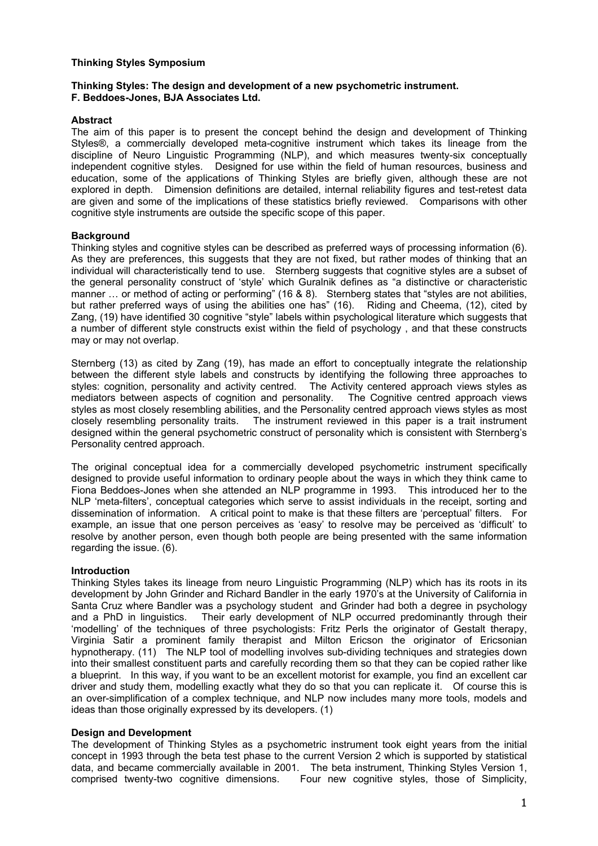# **Thinking Styles Symposium**

# **Thinking Styles: The design and development of a new psychometric instrument. F. Beddoes-Jones, BJA Associates Ltd.**

# **Abstract**

The aim of this paper is to present the concept behind the design and development of Thinking Styles®, a commercially developed meta-cognitive instrument which takes its lineage from the discipline of Neuro Linguistic Programming (NLP), and which measures twenty-six conceptually independent cognitive styles. Designed for use within the field of human resources, business and education, some of the applications of Thinking Styles are briefly given, although these are not explored in depth. Dimension definitions are detailed, internal reliability figures and test-retest data are given and some of the implications of these statistics briefly reviewed. Comparisons with other cognitive style instruments are outside the specific scope of this paper.

# **Background**

Thinking styles and cognitive styles can be described as preferred ways of processing information (6). As they are preferences, this suggests that they are not fixed, but rather modes of thinking that an individual will characteristically tend to use. Sternberg suggests that cognitive styles are a subset of the general personality construct of 'style' which Guralnik defines as "a distinctive or characteristic manner ... or method of acting or performing" (16 & 8). Sternberg states that "styles are not abilities, but rather preferred ways of using the abilities one has" (16). Riding and Cheema, (12), cited by Zang, (19) have identified 30 cognitive "style" labels within psychological literature which suggests that a number of different style constructs exist within the field of psychology , and that these constructs may or may not overlap.

Sternberg (13) as cited by Zang (19), has made an effort to conceptually integrate the relationship between the different style labels and constructs by identifying the following three approaches to styles: cognition, personality and activity centred. The Activity centered approach views styles as mediators between aspects of cognition and personality. The Cognitive centred approach views styles as most closely resembling abilities, and the Personality centred approach views styles as most closely resembling personality traits. The instrument reviewed in this paper is a trait instrument designed within the general psychometric construct of personality which is consistent with Sternberg's Personality centred approach.

The original conceptual idea for a commercially developed psychometric instrument specifically designed to provide useful information to ordinary people about the ways in which they think came to Fiona Beddoes-Jones when she attended an NLP programme in 1993. This introduced her to the NLP 'meta-filters', conceptual categories which serve to assist individuals in the receipt, sorting and dissemination of information. A critical point to make is that these filters are 'perceptual' filters. For example, an issue that one person perceives as 'easy' to resolve may be perceived as 'difficult' to resolve by another person, even though both people are being presented with the same information regarding the issue. (6).

# **Introduction**

Thinking Styles takes its lineage from neuro Linguistic Programming (NLP) which has its roots in its development by John Grinder and Richard Bandler in the early 1970's at the University of California in Santa Cruz where Bandler was a psychology student and Grinder had both a degree in psychology and a PhD in linguistics. Their early development of NLP occurred predominantly through their 'modelling' of the techniques of three psychologists: Fritz Perls the originator of Gestalt therapy, Virginia Satir a prominent family therapist and Milton Ericson the originator of Ericsonian hypnotherapy. (11) The NLP tool of modelling involves sub-dividing techniques and strategies down into their smallest constituent parts and carefully recording them so that they can be copied rather like a blueprint. In this way, if you want to be an excellent motorist for example, you find an excellent car driver and study them, modelling exactly what they do so that you can replicate it. Of course this is an over-simplification of a complex technique, and NLP now includes many more tools, models and ideas than those originally expressed by its developers. (1)

# **Design and Development**

The development of Thinking Styles as a psychometric instrument took eight years from the initial concept in 1993 through the beta test phase to the current Version 2 which is supported by statistical data, and became commercially available in 2001. The beta instrument, Thinking Styles Version 1, comprised twenty-two cognitive dimensions. Four new cognitive styles, those of Simplicity,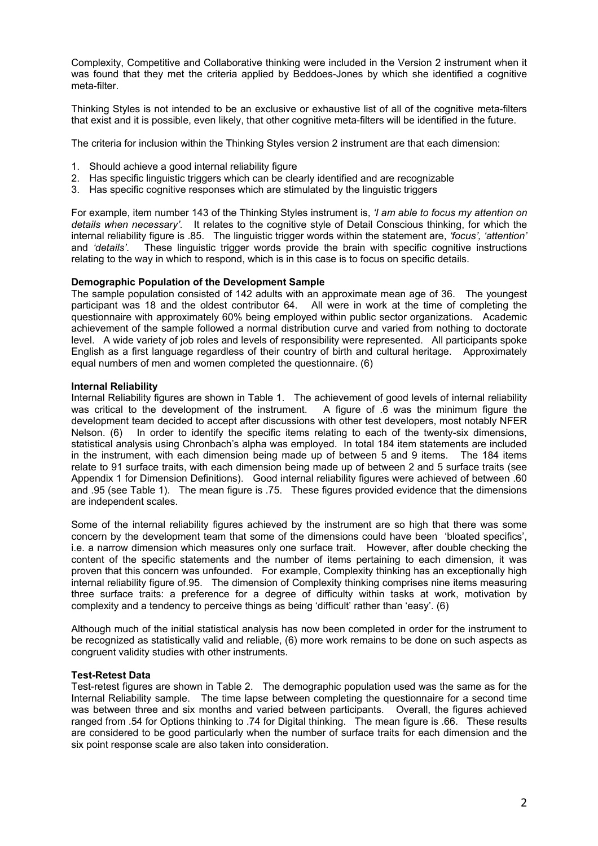Complexity, Competitive and Collaborative thinking were included in the Version 2 instrument when it was found that they met the criteria applied by Beddoes-Jones by which she identified a cognitive meta-filter.

Thinking Styles is not intended to be an exclusive or exhaustive list of all of the cognitive meta-filters that exist and it is possible, even likely, that other cognitive meta-filters will be identified in the future.

The criteria for inclusion within the Thinking Styles version 2 instrument are that each dimension:

- 1. Should achieve a good internal reliability figure
- 2. Has specific linguistic triggers which can be clearly identified and are recognizable
- 3. Has specific cognitive responses which are stimulated by the linguistic triggers

For example, item number 143 of the Thinking Styles instrument is, *'I am able to focus my attention on details when necessary'*. It relates to the cognitive style of Detail Conscious thinking, for which the internal reliability figure is .85. The linguistic trigger words within the statement are, *'focus', 'attention'* and *'details'*. These linguistic trigger words provide the brain with specific cognitive instructions relating to the way in which to respond, which is in this case is to focus on specific details.

# **Demographic Population of the Development Sample**

The sample population consisted of 142 adults with an approximate mean age of 36. The youngest participant was 18 and the oldest contributor 64. All were in work at the time of completing the questionnaire with approximately 60% being employed within public sector organizations. Academic achievement of the sample followed a normal distribution curve and varied from nothing to doctorate level. A wide variety of job roles and levels of responsibility were represented. All participants spoke English as a first language regardless of their country of birth and cultural heritage. Approximately equal numbers of men and women completed the questionnaire. (6)

# **Internal Reliability**

Internal Reliability figures are shown in Table 1. The achievement of good levels of internal reliability was critical to the development of the instrument. A figure of .6 was the minimum figure the development team decided to accept after discussions with other test developers, most notably NFER Nelson. (6) In order to identify the specific items relating to each of the twenty-six dimensions, statistical analysis using Chronbach's alpha was employed. In total 184 item statements are included in the instrument, with each dimension being made up of between 5 and 9 items. The 184 items relate to 91 surface traits, with each dimension being made up of between 2 and 5 surface traits (see Appendix 1 for Dimension Definitions). Good internal reliability figures were achieved of between .60 and .95 (see Table 1). The mean figure is .75. These figures provided evidence that the dimensions are independent scales.

Some of the internal reliability figures achieved by the instrument are so high that there was some concern by the development team that some of the dimensions could have been 'bloated specifics', i.e. a narrow dimension which measures only one surface trait. However, after double checking the content of the specific statements and the number of items pertaining to each dimension, it was proven that this concern was unfounded. For example, Complexity thinking has an exceptionally high internal reliability figure of.95. The dimension of Complexity thinking comprises nine items measuring three surface traits: a preference for a degree of difficulty within tasks at work, motivation by complexity and a tendency to perceive things as being 'difficult' rather than 'easy'. (6)

Although much of the initial statistical analysis has now been completed in order for the instrument to be recognized as statistically valid and reliable, (6) more work remains to be done on such aspects as congruent validity studies with other instruments.

# **Test-Retest Data**

Test-retest figures are shown in Table 2. The demographic population used was the same as for the Internal Reliability sample. The time lapse between completing the questionnaire for a second time was between three and six months and varied between participants. Overall, the figures achieved ranged from .54 for Options thinking to .74 for Digital thinking. The mean figure is .66. These results are considered to be good particularly when the number of surface traits for each dimension and the six point response scale are also taken into consideration.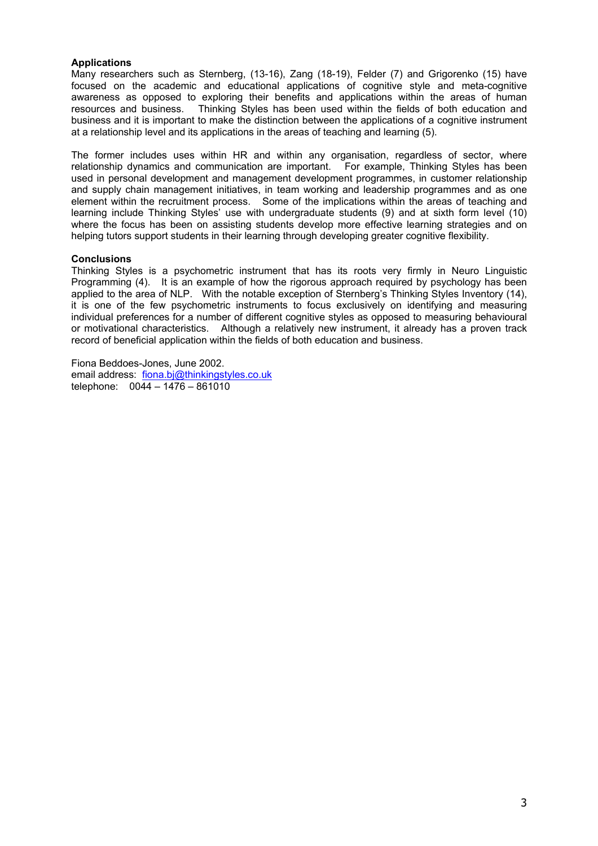# **Applications**

Many researchers such as Sternberg, (13-16), Zang (18-19), Felder (7) and Grigorenko (15) have focused on the academic and educational applications of cognitive style and meta-cognitive awareness as opposed to exploring their benefits and applications within the areas of human resources and business. Thinking Styles has been used within the fields of both education and business and it is important to make the distinction between the applications of a cognitive instrument at a relationship level and its applications in the areas of teaching and learning (5).

The former includes uses within HR and within any organisation, regardless of sector, where relationship dynamics and communication are important. For example, Thinking Styles has been used in personal development and management development programmes, in customer relationship and supply chain management initiatives, in team working and leadership programmes and as one element within the recruitment process. Some of the implications within the areas of teaching and learning include Thinking Styles' use with undergraduate students (9) and at sixth form level (10) where the focus has been on assisting students develop more effective learning strategies and on helping tutors support students in their learning through developing greater cognitive flexibility.

# **Conclusions**

Thinking Styles is a psychometric instrument that has its roots very firmly in Neuro Linguistic Programming (4). It is an example of how the rigorous approach required by psychology has been applied to the area of NLP. With the notable exception of Sternberg's Thinking Styles Inventory (14), it is one of the few psychometric instruments to focus exclusively on identifying and measuring individual preferences for a number of different cognitive styles as opposed to measuring behavioural or motivational characteristics. Although a relatively new instrument, it already has a proven track record of beneficial application within the fields of both education and business.

Fiona Beddoes-Jones, June 2002. email address: [fiona.bj@thinkingstyles.co.uk](mailto:fiona.bj@thinkingstyles.co.uk) telephone: 0044 – 1476 – 861010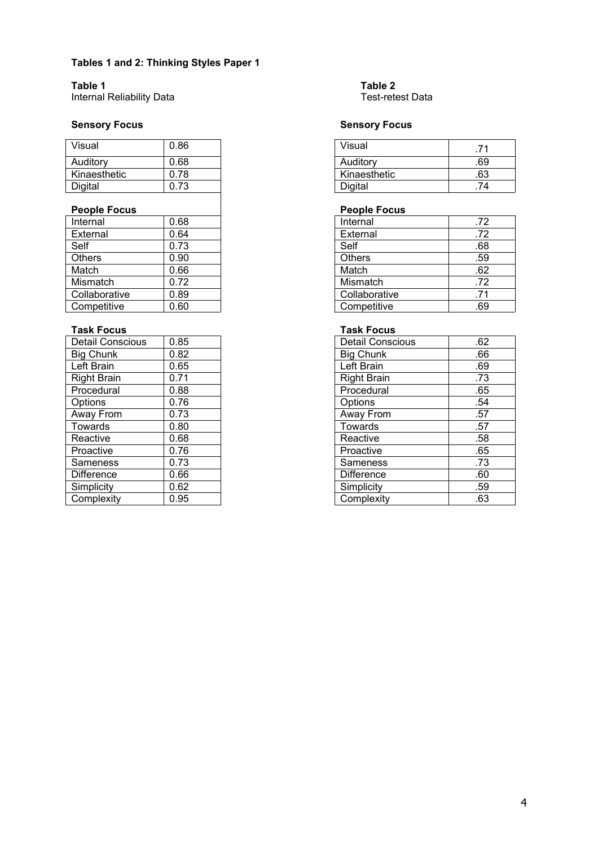# **Tables 1 and 2: Thinking Styles Paper 1**

Internal Reliability Data

# **Sensory Focus** Sensory **Focus**

| Visual       | 0.86 |
|--------------|------|
| Auditory     | 0.68 |
| Kinaesthetic | 0.78 |
| Digital      | 0.73 |
|              |      |

# **People Focus People Focus**

| Internal      | 0.68 |
|---------------|------|
| External      | 0.64 |
| Self          | 0.73 |
| <b>Others</b> | 0.90 |
| Match         | 0.66 |
| Mismatch      | 0.72 |
| Collaborative | 0.89 |
| Competitive   | 0.60 |

# **Task Focus Task Focus**

| <b>Detail Conscious</b> | 0.85 |
|-------------------------|------|
| <b>Big Chunk</b>        | 0.82 |
| Left Brain              | 0.65 |
| <b>Right Brain</b>      | 0.71 |
| Procedural              | 0.88 |
| Options                 | 0.76 |
| Away From               | 0.73 |
| Towards                 | 0.80 |
| Reactive                | 0.68 |
| Proactive               | 0.76 |
| Sameness                | 0.73 |
| Difference              | 0.66 |
| Simplicity              | 0.62 |
| Complexity              | 0.95 |

# **Table 1**<br> **Table 2**<br> **Internal Reliability Data**<br> **Test-retest Data**

| Visual       | 0.86 | Visual       | . . |
|--------------|------|--------------|-----|
| Auditory     | 0.68 | Auditory     | .69 |
| Kinaesthetic | 0.78 | Kinaesthetic | .63 |
| Digital      | 0.73 | Digital      |     |

| Internal      | 0.68 | Internal      | .72 |
|---------------|------|---------------|-----|
| External      | 0.64 | External      | .72 |
| Self          | 0.73 | Self          | .68 |
| <b>Others</b> | 0.90 | <b>Others</b> | .59 |
| Match         | 0.66 | Match         | .62 |
| Mismatch      | 0.72 | Mismatch      | .72 |
| Collaborative | 0.89 | Collaborative | .71 |
| Competitive   | 0.60 | Competitive   | .69 |

| Detail Conscious   | 0.85 | <b>Detail Conscious</b> | .62 |
|--------------------|------|-------------------------|-----|
| Big Chunk          | 0.82 | <b>Big Chunk</b>        | .66 |
| Left Brain         | 0.65 | Left Brain              | .69 |
| <b>Right Brain</b> | 0.71 | <b>Right Brain</b>      | .73 |
| Procedural         | 0.88 | Procedural              | .65 |
| Options            | 0.76 | Options                 | .54 |
| Away From          | 0.73 | Away From               | .57 |
| Towards            | 0.80 | Towards                 | .57 |
| Reactive           | 0.68 | Reactive                | .58 |
| Proactive          | 0.76 | Proactive               | .65 |
| Sameness           | 0.73 | Sameness                | .73 |
| <b>Difference</b>  | 0.66 | <b>Difference</b>       | .60 |
| Simplicity         | 0.62 | Simplicity              | .59 |
| Complexity         | 0.95 | Complexity              | .63 |
|                    |      |                         |     |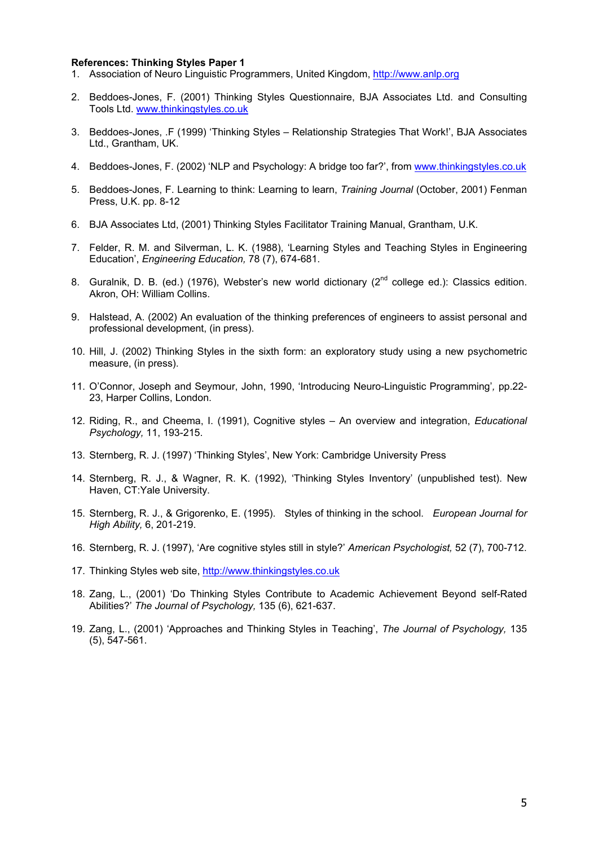# **References: Thinking Styles Paper 1**

- 1. Association of Neuro Linguistic Programmers, United Kingdom, [http://www](http://www/).anlp.org
- 2. Beddoes-Jones, F. (2001) Thinking Styles Questionnaire, BJA Associates Ltd. and Consulting Tools Ltd. [www.thinkingstyles.co.uk](http://www.thinkingstyles.co.uk/)
- 3. Beddoes-Jones, .F (1999) 'Thinking Styles Relationship Strategies That Work!', BJA Associates Ltd., Grantham, UK.
- 4. Beddoes-Jones, F. (2002) 'NLP and Psychology: A bridge too far?', from [www.thinkingstyles.co.uk](http://www.thinkingstyles.co.uk/)
- 5. Beddoes-Jones, F. Learning to think: Learning to learn, *Training Journal* (October, 2001) Fenman Press, U.K. pp. 8-12
- 6. BJA Associates Ltd, (2001) Thinking Styles Facilitator Training Manual, Grantham, U.K.
- 7. Felder, R. M. and Silverman, L. K. (1988), 'Learning Styles and Teaching Styles in Engineering Education', *Engineering Education,* 78 (7), 674-681.
- 8. Guralnik, D. B. (ed.) (1976), Webster's new world dictionary (2<sup>nd</sup> college ed.): Classics edition. Akron, OH: William Collins.
- 9. Halstead, A. (2002) An evaluation of the thinking preferences of engineers to assist personal and professional development, (in press).
- 10. Hill, J. (2002) Thinking Styles in the sixth form: an exploratory study using a new psychometric measure, (in press).
- 11. O'Connor, Joseph and Seymour, John, 1990, 'Introducing Neuro-Linguistic Programming'*,* pp.22- 23, Harper Collins, London.
- 12. Riding, R., and Cheema, I. (1991), Cognitive styles An overview and integration, *Educational Psychology,* 11, 193-215.
- 13. Sternberg, R. J. (1997) 'Thinking Styles', New York: Cambridge University Press
- 14. Sternberg, R. J., & Wagner, R. K. (1992), 'Thinking Styles Inventory' (unpublished test). New Haven, CT:Yale University.
- 15. Sternberg, R. J., & Grigorenko, E. (1995). Styles of thinking in the school. *European Journal for High Ability,* 6, 201-219.
- 16. Sternberg, R. J. (1997), 'Are cognitive styles still in style?' *American Psychologist,* 52 (7), 700-712.
- 17. Thinking Styles web site, [http://www.thinkingstyles.co.uk](http://www.thinkingstyles.co.uk/)
- 18. Zang, L., (2001) 'Do Thinking Styles Contribute to Academic Achievement Beyond self-Rated Abilities?' *The Journal of Psychology,* 135 (6), 621-637.
- 19. Zang, L., (2001) 'Approaches and Thinking Styles in Teaching', *The Journal of Psychology,* 135 (5), 547-561.